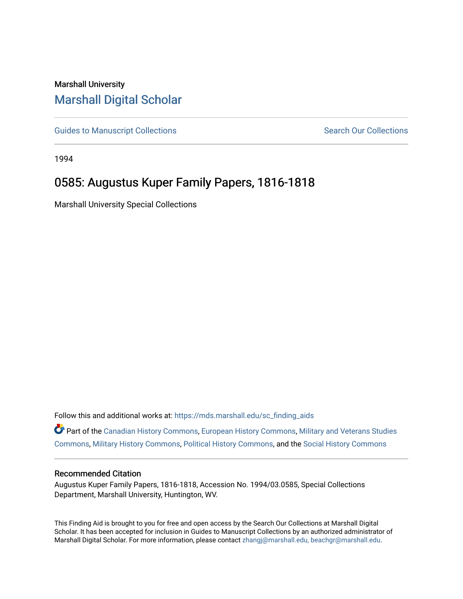## Marshall University [Marshall Digital Scholar](https://mds.marshall.edu/)

[Guides to Manuscript Collections](https://mds.marshall.edu/sc_finding_aids) **Search Our Collections** Search Our Collections

1994

## 0585: Augustus Kuper Family Papers, 1816-1818

Marshall University Special Collections

Follow this and additional works at: [https://mds.marshall.edu/sc\\_finding\\_aids](https://mds.marshall.edu/sc_finding_aids?utm_source=mds.marshall.edu%2Fsc_finding_aids%2F314&utm_medium=PDF&utm_campaign=PDFCoverPages) 

Part of the [Canadian History Commons](http://network.bepress.com/hgg/discipline/1358?utm_source=mds.marshall.edu%2Fsc_finding_aids%2F314&utm_medium=PDF&utm_campaign=PDFCoverPages), [European History Commons](http://network.bepress.com/hgg/discipline/492?utm_source=mds.marshall.edu%2Fsc_finding_aids%2F314&utm_medium=PDF&utm_campaign=PDFCoverPages), [Military and Veterans Studies](http://network.bepress.com/hgg/discipline/396?utm_source=mds.marshall.edu%2Fsc_finding_aids%2F314&utm_medium=PDF&utm_campaign=PDFCoverPages) [Commons](http://network.bepress.com/hgg/discipline/396?utm_source=mds.marshall.edu%2Fsc_finding_aids%2F314&utm_medium=PDF&utm_campaign=PDFCoverPages), [Military History Commons](http://network.bepress.com/hgg/discipline/504?utm_source=mds.marshall.edu%2Fsc_finding_aids%2F314&utm_medium=PDF&utm_campaign=PDFCoverPages), [Political History Commons](http://network.bepress.com/hgg/discipline/505?utm_source=mds.marshall.edu%2Fsc_finding_aids%2F314&utm_medium=PDF&utm_campaign=PDFCoverPages), and the [Social History Commons](http://network.bepress.com/hgg/discipline/506?utm_source=mds.marshall.edu%2Fsc_finding_aids%2F314&utm_medium=PDF&utm_campaign=PDFCoverPages)

## Recommended Citation

Augustus Kuper Family Papers, 1816-1818, Accession No. 1994/03.0585, Special Collections Department, Marshall University, Huntington, WV.

This Finding Aid is brought to you for free and open access by the Search Our Collections at Marshall Digital Scholar. It has been accepted for inclusion in Guides to Manuscript Collections by an authorized administrator of Marshall Digital Scholar. For more information, please contact [zhangj@marshall.edu, beachgr@marshall.edu](mailto:zhangj@marshall.edu,%20beachgr@marshall.edu).